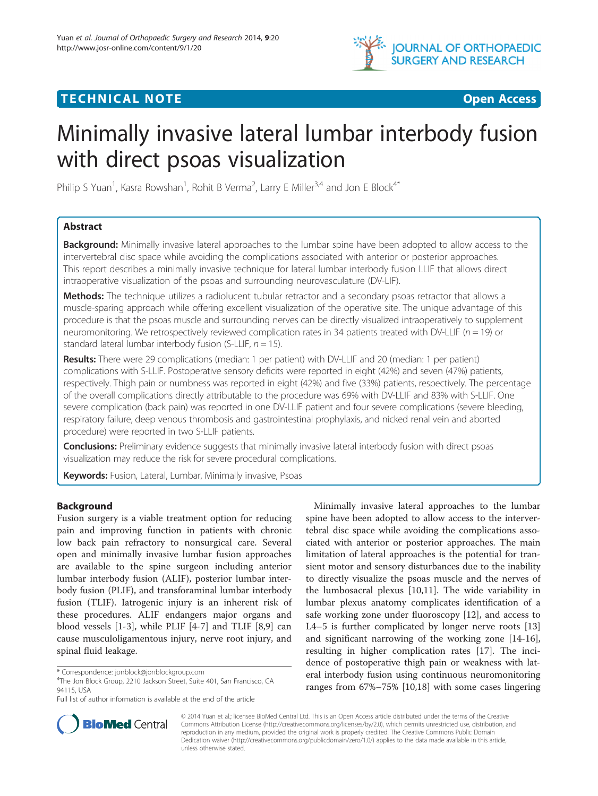

## **TECHNICAL NOTE TECHNICAL NOTE**



# Minimally invasive lateral lumbar interbody fusion with direct psoas visualization

Philip S Yuan<sup>1</sup>, Kasra Rowshan<sup>1</sup>, Rohit B Verma<sup>2</sup>, Larry E Miller<sup>3,4</sup> and Jon E Block<sup>4\*</sup>

## Abstract

Background: Minimally invasive lateral approaches to the lumbar spine have been adopted to allow access to the intervertebral disc space while avoiding the complications associated with anterior or posterior approaches. This report describes a minimally invasive technique for lateral lumbar interbody fusion LLIF that allows direct intraoperative visualization of the psoas and surrounding neurovasculature (DV-LIF).

Methods: The technique utilizes a radiolucent tubular retractor and a secondary psoas retractor that allows a muscle-sparing approach while offering excellent visualization of the operative site. The unique advantage of this procedure is that the psoas muscle and surrounding nerves can be directly visualized intraoperatively to supplement neuromonitoring. We retrospectively reviewed complication rates in 34 patients treated with DV-LLIF ( $n = 19$ ) or standard lateral lumbar interbody fusion (S-LLIF,  $n = 15$ ).

Results: There were 29 complications (median: 1 per patient) with DV-LLIF and 20 (median: 1 per patient) complications with S-LLIF. Postoperative sensory deficits were reported in eight (42%) and seven (47%) patients, respectively. Thigh pain or numbness was reported in eight (42%) and five (33%) patients, respectively. The percentage of the overall complications directly attributable to the procedure was 69% with DV-LLIF and 83% with S-LLIF. One severe complication (back pain) was reported in one DV-LLIF patient and four severe complications (severe bleeding, respiratory failure, deep venous thrombosis and gastrointestinal prophylaxis, and nicked renal vein and aborted procedure) were reported in two S-LLIF patients.

Conclusions: Preliminary evidence suggests that minimally invasive lateral interbody fusion with direct psoas visualization may reduce the risk for severe procedural complications.

Keywords: Fusion, Lateral, Lumbar, Minimally invasive, Psoas

## Background

Fusion surgery is a viable treatment option for reducing pain and improving function in patients with chronic low back pain refractory to nonsurgical care. Several open and minimally invasive lumbar fusion approaches are available to the spine surgeon including anterior lumbar interbody fusion (ALIF), posterior lumbar interbody fusion (PLIF), and transforaminal lumbar interbody fusion (TLIF). Iatrogenic injury is an inherent risk of these procedures. ALIF endangers major organs and blood vessels [\[1](#page-3-0)-[3\]](#page-3-0), while PLIF [\[4](#page-3-0)-[7\]](#page-3-0) and TLIF [[8](#page-3-0),[9\]](#page-3-0) can cause musculoligamentous injury, nerve root injury, and spinal fluid leakage.

Minimally invasive lateral approaches to the lumbar spine have been adopted to allow access to the intervertebral disc space while avoiding the complications associated with anterior or posterior approaches. The main limitation of lateral approaches is the potential for transient motor and sensory disturbances due to the inability to directly visualize the psoas muscle and the nerves of the lumbosacral plexus [\[10,11\]](#page-3-0). The wide variability in lumbar plexus anatomy complicates identification of a safe working zone under fluoroscopy [[12](#page-3-0)], and access to L4–5 is further complicated by longer nerve roots [[13](#page-3-0)] and significant narrowing of the working zone [\[14-16](#page-3-0)], resulting in higher complication rates [[17\]](#page-3-0). The incidence of postoperative thigh pain or weakness with lateral interbody fusion using continuous neuromonitoring ranges from 67%–75% [[10](#page-3-0),[18](#page-3-0)] with some cases lingering



© 2014 Yuan et al.; licensee BioMed Central Ltd. This is an Open Access article distributed under the terms of the Creative Commons Attribution License [\(http://creativecommons.org/licenses/by/2.0\)](http://creativecommons.org/licenses/by/2.0), which permits unrestricted use, distribution, and reproduction in any medium, provided the original work is properly credited. The Creative Commons Public Domain Dedication waiver [\(http://creativecommons.org/publicdomain/zero/1.0/](http://creativecommons.org/publicdomain/zero/1.0/)) applies to the data made available in this article, unless otherwise stated.

<sup>\*</sup> Correspondence: [jonblock@jonblockgroup.com](mailto:jonblock@jonblockgroup.com) <sup>4</sup>

<sup>&</sup>lt;sup>4</sup>The Jon Block Group, 2210 Jackson Street, Suite 401, San Francisco, CA 94115, USA

Full list of author information is available at the end of the article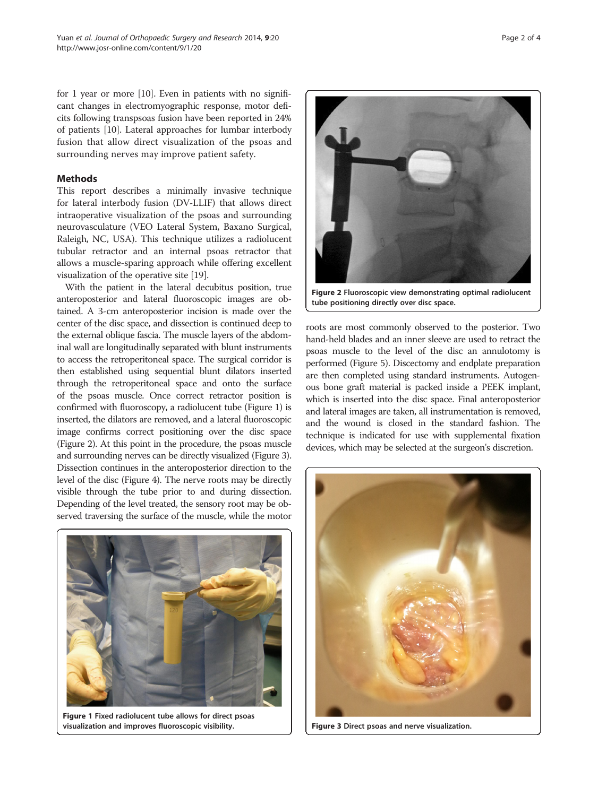for 1 year or more [\[10\]](#page-3-0). Even in patients with no significant changes in electromyographic response, motor deficits following transpsoas fusion have been reported in 24% of patients [\[10](#page-3-0)]. Lateral approaches for lumbar interbody fusion that allow direct visualization of the psoas and surrounding nerves may improve patient safety.

### **Methods**

This report describes a minimally invasive technique for lateral interbody fusion (DV-LLIF) that allows direct intraoperative visualization of the psoas and surrounding neurovasculature (VEO Lateral System, Baxano Surgical, Raleigh, NC, USA). This technique utilizes a radiolucent tubular retractor and an internal psoas retractor that allows a muscle-sparing approach while offering excellent visualization of the operative site [\[19\]](#page-3-0).

With the patient in the lateral decubitus position, true anteroposterior and lateral fluoroscopic images are obtained. A 3-cm anteroposterior incision is made over the center of the disc space, and dissection is continued deep to the external oblique fascia. The muscle layers of the abdominal wall are longitudinally separated with blunt instruments to access the retroperitoneal space. The surgical corridor is then established using sequential blunt dilators inserted through the retroperitoneal space and onto the surface of the psoas muscle. Once correct retractor position is confirmed with fluoroscopy, a radiolucent tube (Figure 1) is inserted, the dilators are removed, and a lateral fluoroscopic image confirms correct positioning over the disc space (Figure 2). At this point in the procedure, the psoas muscle and surrounding nerves can be directly visualized (Figure 3). Dissection continues in the anteroposterior direction to the level of the disc (Figure [4](#page-2-0)). The nerve roots may be directly visible through the tube prior to and during dissection. Depending of the level treated, the sensory root may be observed traversing the surface of the muscle, while the motor



Figure 1 Fixed radiolucent tube allows for direct psoas visualization and improves fluoroscopic visibility.



tube positioning directly over disc space.

roots are most commonly observed to the posterior. Two hand-held blades and an inner sleeve are used to retract the psoas muscle to the level of the disc an annulotomy is performed (Figure [5\)](#page-2-0). Discectomy and endplate preparation are then completed using standard instruments. Autogenous bone graft material is packed inside a PEEK implant, which is inserted into the disc space. Final anteroposterior and lateral images are taken, all instrumentation is removed, and the wound is closed in the standard fashion. The technique is indicated for use with supplemental fixation devices, which may be selected at the surgeon's discretion.



Figure 3 Direct psoas and nerve visualization.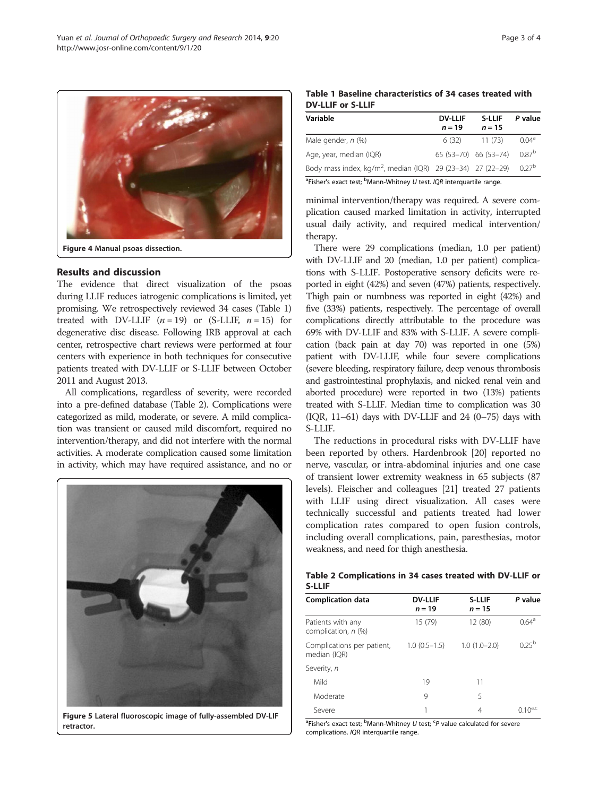<span id="page-2-0"></span>

Figure 4 Manual psoas dissection.

### Results and discussion

The evidence that direct visualization of the psoas during LLIF reduces iatrogenic complications is limited, yet promising. We retrospectively reviewed 34 cases (Table 1) treated with DV-LLIF  $(n = 19)$  or (S-LLIF,  $n = 15$ ) for degenerative disc disease. Following IRB approval at each center, retrospective chart reviews were performed at four centers with experience in both techniques for consecutive patients treated with DV-LLIF or S-LLIF between October 2011 and August 2013.

All complications, regardless of severity, were recorded into a pre-defined database (Table 2). Complications were categorized as mild, moderate, or severe. A mild complication was transient or caused mild discomfort, required no intervention/therapy, and did not interfere with the normal activities. A moderate complication caused some limitation in activity, which may have required assistance, and no or



Figure 5 Lateral fluoroscopic image of fully-assembled DV-LIF retractor.

|                          | Table 1 Baseline characteristics of 34 cases treated with |  |  |
|--------------------------|-----------------------------------------------------------|--|--|
| <b>DV-LLIF or S-LLIF</b> |                                                           |  |  |

| Variable                                                                | <b>DV-LLIF</b><br>$n = 19$ | <b>S-LLIF</b><br>$n = 15$ | P value           |
|-------------------------------------------------------------------------|----------------------------|---------------------------|-------------------|
| Male gender, n (%)                                                      | 6 (32)                     | 11(73)                    | 0.04 <sup>a</sup> |
| Age, year, median (IQR)                                                 |                            | 65 (53-70) 66 (53-74)     | $0.87^{b}$        |
| Body mass index, kg/m <sup>2</sup> , median (IQR) 29 (23-34) 27 (22-29) |                            |                           | $0.27^{b}$        |

<sup>a</sup>Fisher's exact test; <sup>b</sup>Mann-Whitney U test. IQR interquartile range.

minimal intervention/therapy was required. A severe complication caused marked limitation in activity, interrupted usual daily activity, and required medical intervention/ therapy.

There were 29 complications (median, 1.0 per patient) with DV-LLIF and 20 (median, 1.0 per patient) complications with S-LLIF. Postoperative sensory deficits were reported in eight (42%) and seven (47%) patients, respectively. Thigh pain or numbness was reported in eight (42%) and five (33%) patients, respectively. The percentage of overall complications directly attributable to the procedure was 69% with DV-LLIF and 83% with S-LLIF. A severe complication (back pain at day 70) was reported in one (5%) patient with DV-LLIF, while four severe complications (severe bleeding, respiratory failure, deep venous thrombosis and gastrointestinal prophylaxis, and nicked renal vein and aborted procedure) were reported in two (13%) patients treated with S-LLIF. Median time to complication was 30 (IQR,  $11-61$ ) days with DV-LLIF and 24 (0-75) days with S-LLIF.

The reductions in procedural risks with DV-LLIF have been reported by others. Hardenbrook [[20](#page-3-0)] reported no nerve, vascular, or intra-abdominal injuries and one case of transient lower extremity weakness in 65 subjects (87 levels). Fleischer and colleagues [\[21](#page-3-0)] treated 27 patients with LLIF using direct visualization. All cases were technically successful and patients treated had lower complication rates compared to open fusion controls, including overall complications, pain, paresthesias, motor weakness, and need for thigh anesthesia.

| Table 2 Complications in 34 cases treated with DV-LLIF or |  |  |  |
|-----------------------------------------------------------|--|--|--|
| <b>S-LLIF</b>                                             |  |  |  |

| <b>Complication data</b>                   | <b>DV-LLIF</b><br>$n = 19$ | <b>S-LLIF</b><br>$n = 15$ | P value          |
|--------------------------------------------|----------------------------|---------------------------|------------------|
| Patients with any<br>complication, n (%)   | 15 (79)                    | 12 (80)                   | $0.64^{\circ}$   |
| Complications per patient,<br>median (IQR) | $1.0(0.5-1.5)$             | $1.0(1.0-2.0)$            | 025 <sup>b</sup> |
| Severity, n                                |                            |                           |                  |
| Mild                                       | 19                         | 11                        |                  |
| Moderate                                   | 9                          | 5                         |                  |
| Severe                                     |                            | 4                         | $0.10^{4,C}$     |

<sup>a</sup>Fisher's exact test; <sup>b</sup>Mann-Whitney U test; <sup>c</sup>P value calculated for severe complications. IQR interquartile range.